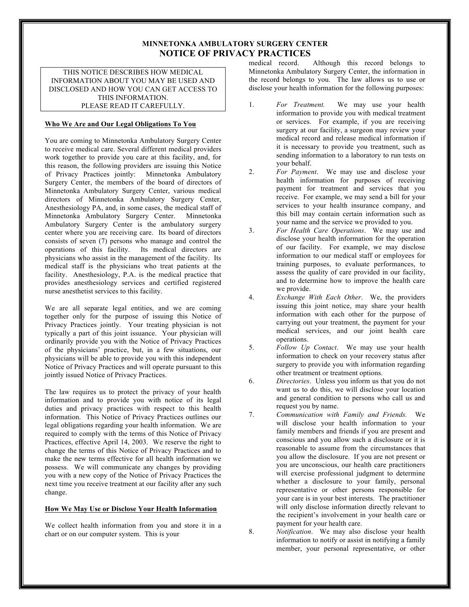# **MINNETONKA AMBULATORY SURGERY CENTER NOTICE OF PRIVACY PRACTICES**

THIS NOTICE DESCRIBES HOW MEDICAL INFORMATION ABOUT YOU MAY BE USED AND DISCLOSED AND HOW YOU CAN GET ACCESS TO THIS INFORMATION. PLEASE READ IT CAREFULLY.

## **Who We Are and Our Legal Obligations To You**

You are coming to Minnetonka Ambulatory Surgery Center to receive medical care. Several different medical providers work together to provide you care at this facility, and, for this reason, the following providers are issuing this Notice of Privacy Practices jointly: Minnetonka Ambulatory Surgery Center, the members of the board of directors of Minnetonka Ambulatory Surgery Center, various medical directors of Minnetonka Ambulatory Surgery Center, Anesthesiology PA, and, in some cases, the medical staff of Minnetonka Ambulatory Surgery Center. Minnetonka Ambulatory Surgery Center is the ambulatory surgery center where you are receiving care. Its board of directors consists of seven (7) persons who manage and control the operations of this facility. Its medical directors are physicians who assist in the management of the facility. Its medical staff is the physicians who treat patients at the facility. Anesthesiology, P.A. is the medical practice that provides anesthesiology services and certified registered nurse anesthetist services to this facility.

We are all separate legal entities, and we are coming together only for the purpose of issuing this Notice of Privacy Practices jointly. Your treating physician is not typically a part of this joint issuance. Your physician will ordinarily provide you with the Notice of Privacy Practices of the physicians' practice, but, in a few situations, our physicians will be able to provide you with this independent Notice of Privacy Practices and will operate pursuant to this jointly issued Notice of Privacy Practices.

The law requires us to protect the privacy of your health information and to provide you with notice of its legal duties and privacy practices with respect to this health information. This Notice of Privacy Practices outlines our legal obligations regarding your health information. We are required to comply with the terms of this Notice of Privacy Practices, effective April 14, 2003. We reserve the right to change the terms of this Notice of Privacy Practices and to make the new terms effective for all health information we possess. We will communicate any changes by providing you with a new copy of the Notice of Privacy Practices the next time you receive treatment at our facility after any such change.

## **How We May Use or Disclose Your Health Information**

We collect health information from you and store it in a chart or on our computer system. This is your

medical record. Although this record belongs to Minnetonka Ambulatory Surgery Center, the information in the record belongs to you. The law allows us to use or disclose your health information for the following purposes:

- 1. *For Treatment.* We may use your health information to provide you with medical treatment or services. For example, if you are receiving surgery at our facility, a surgeon may review your medical record and release medical information if it is necessary to provide you treatment, such as sending information to a laboratory to run tests on your behalf.
- 2. *For Payment*. We may use and disclose your health information for purposes of receiving payment for treatment and services that you receive. For example, we may send a bill for your services to your health insurance company, and this bill may contain certain information such as your name and the service we provided to you.
- 3. *For Health Care Operations*. We may use and disclose your health information for the operation of our facility. For example, we may disclose information to our medical staff or employees for training purposes, to evaluate performances, to assess the quality of care provided in our facility, and to determine how to improve the health care we provide.
- 4. *Exchange With Each Other*. We, the providers issuing this joint notice, may share your health information with each other for the purpose of carrying out your treatment, the payment for your medical services, and our joint health care operations.
- 5. *Follow Up Contact*. We may use your health information to check on your recovery status after surgery to provide you with information regarding other treatment or treatment options.
- 6. *Directories*. Unless you inform us that you do not want us to do this, we will disclose your location and general condition to persons who call us and request you by name.
- 7. *Communication with Family and Friends.* We will disclose your health information to your family members and friends if you are present and conscious and you allow such a disclosure or it is reasonable to assume from the circumstances that you allow the disclosure. If you are not present or you are unconscious, our health care practitioners will exercise professional judgment to determine whether a disclosure to your family, personal representative or other persons responsible for your care is in your best interests. The practitioner will only disclose information directly relevant to the recipient's involvement in your health care or payment for your health care.

8. *Notification*. We may also disclose your health information to notify or assist in notifying a family member, your personal representative, or other